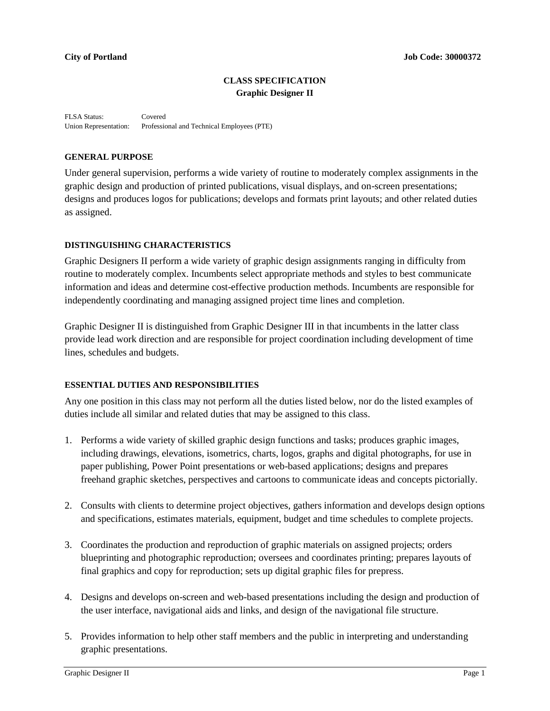# **CLASS SPECIFICATION Graphic Designer II**

FLSA Status: Covered Union Representation: Professional and Technical Employees (PTE)

#### **GENERAL PURPOSE**

Under general supervision, performs a wide variety of routine to moderately complex assignments in the graphic design and production of printed publications, visual displays, and on-screen presentations; designs and produces logos for publications; develops and formats print layouts; and other related duties as assigned.

#### **DISTINGUISHING CHARACTERISTICS**

Graphic Designers II perform a wide variety of graphic design assignments ranging in difficulty from routine to moderately complex. Incumbents select appropriate methods and styles to best communicate information and ideas and determine cost-effective production methods. Incumbents are responsible for independently coordinating and managing assigned project time lines and completion.

Graphic Designer II is distinguished from Graphic Designer III in that incumbents in the latter class provide lead work direction and are responsible for project coordination including development of time lines, schedules and budgets.

## **ESSENTIAL DUTIES AND RESPONSIBILITIES**

Any one position in this class may not perform all the duties listed below, nor do the listed examples of duties include all similar and related duties that may be assigned to this class.

- 1. Performs a wide variety of skilled graphic design functions and tasks; produces graphic images, including drawings, elevations, isometrics, charts, logos, graphs and digital photographs, for use in paper publishing, Power Point presentations or web-based applications; designs and prepares freehand graphic sketches, perspectives and cartoons to communicate ideas and concepts pictorially.
- 2. Consults with clients to determine project objectives, gathers information and develops design options and specifications, estimates materials, equipment, budget and time schedules to complete projects.
- 3. Coordinates the production and reproduction of graphic materials on assigned projects; orders blueprinting and photographic reproduction; oversees and coordinates printing; prepares layouts of final graphics and copy for reproduction; sets up digital graphic files for prepress.
- 4. Designs and develops on-screen and web-based presentations including the design and production of the user interface, navigational aids and links, and design of the navigational file structure.
- 5. Provides information to help other staff members and the public in interpreting and understanding graphic presentations.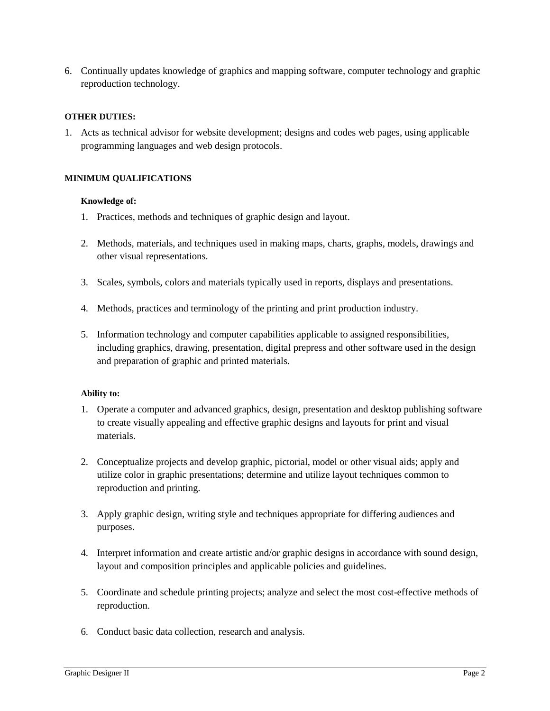6. Continually updates knowledge of graphics and mapping software, computer technology and graphic reproduction technology.

# **OTHER DUTIES:**

1. Acts as technical advisor for website development; designs and codes web pages, using applicable programming languages and web design protocols.

# **MINIMUM QUALIFICATIONS**

### **Knowledge of:**

- 1. Practices, methods and techniques of graphic design and layout.
- 2. Methods, materials, and techniques used in making maps, charts, graphs, models, drawings and other visual representations.
- 3. Scales, symbols, colors and materials typically used in reports, displays and presentations.
- 4. Methods, practices and terminology of the printing and print production industry.
- 5. Information technology and computer capabilities applicable to assigned responsibilities, including graphics, drawing, presentation, digital prepress and other software used in the design and preparation of graphic and printed materials.

### **Ability to:**

- 1. Operate a computer and advanced graphics, design, presentation and desktop publishing software to create visually appealing and effective graphic designs and layouts for print and visual materials.
- 2. Conceptualize projects and develop graphic, pictorial, model or other visual aids; apply and utilize color in graphic presentations; determine and utilize layout techniques common to reproduction and printing.
- 3. Apply graphic design, writing style and techniques appropriate for differing audiences and purposes.
- 4. Interpret information and create artistic and/or graphic designs in accordance with sound design, layout and composition principles and applicable policies and guidelines.
- 5. Coordinate and schedule printing projects; analyze and select the most cost-effective methods of reproduction.
- 6. Conduct basic data collection, research and analysis.